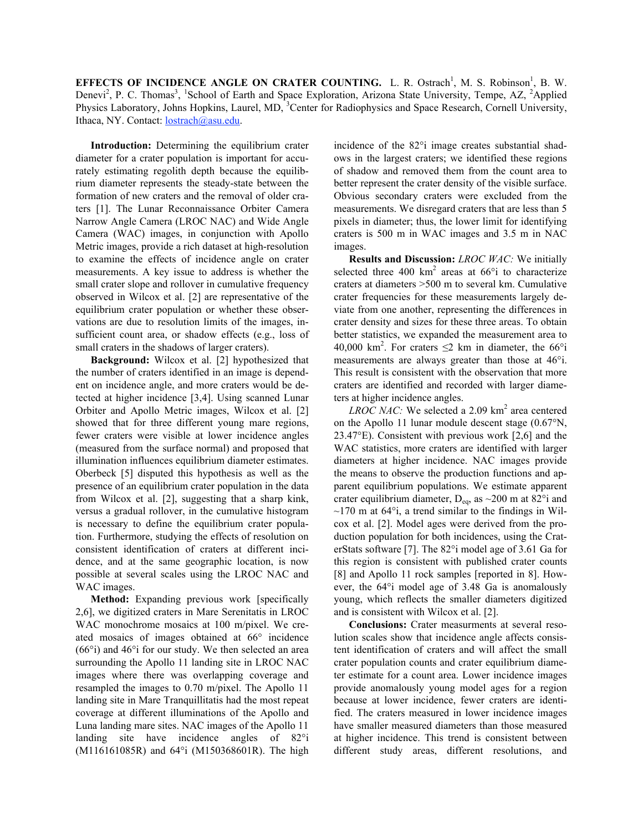**EFFECTS OF INCIDENCE ANGLE ON CRATER COUNTING.** L. R. Ostrach<sup>1</sup>, M. S. Robinson<sup>1</sup>, B. W. Denevi<sup>2</sup>, P. C. Thomas<sup>3</sup>, <sup>1</sup>School of Earth and Space Exploration, Arizona State University, Tempe, AZ, <sup>2</sup>Applied Physics Laboratory, Johns Hopkins, Laurel, MD, <sup>3</sup>Center for Radiophysics and Space Research, Cornell University, Ithaca, NY. Contact: lostrach@asu.edu.

**Introduction:** Determining the equilibrium crater diameter for a crater population is important for accurately estimating regolith depth because the equilibrium diameter represents the steady-state between the formation of new craters and the removal of older craters [1]. The Lunar Reconnaissance Orbiter Camera Narrow Angle Camera (LROC NAC) and Wide Angle Camera (WAC) images, in conjunction with Apollo Metric images, provide a rich dataset at high-resolution to examine the effects of incidence angle on crater measurements. A key issue to address is whether the small crater slope and rollover in cumulative frequency observed in Wilcox et al. [2] are representative of the equilibrium crater population or whether these observations are due to resolution limits of the images, insufficient count area, or shadow effects (e.g., loss of small craters in the shadows of larger craters).

**Background:** Wilcox et al. [2] hypothesized that the number of craters identified in an image is dependent on incidence angle, and more craters would be detected at higher incidence [3,4]. Using scanned Lunar Orbiter and Apollo Metric images, Wilcox et al. [2] showed that for three different young mare regions, fewer craters were visible at lower incidence angles (measured from the surface normal) and proposed that illumination influences equilibrium diameter estimates. Oberbeck [5] disputed this hypothesis as well as the presence of an equilibrium crater population in the data from Wilcox et al. [2], suggesting that a sharp kink, versus a gradual rollover, in the cumulative histogram is necessary to define the equilibrium crater population. Furthermore, studying the effects of resolution on consistent identification of craters at different incidence, and at the same geographic location, is now possible at several scales using the LROC NAC and WAC images.

**Method:** Expanding previous work [specifically 2,6], we digitized craters in Mare Serenitatis in LROC WAC monochrome mosaics at 100 m/pixel. We created mosaics of images obtained at 66° incidence (66°i) and 46°i for our study. We then selected an area surrounding the Apollo 11 landing site in LROC NAC images where there was overlapping coverage and resampled the images to 0.70 m/pixel. The Apollo 11 landing site in Mare Tranquillitatis had the most repeat coverage at different illuminations of the Apollo and Luna landing mare sites. NAC images of the Apollo 11 landing site have incidence angles of 82°i (M116161085R) and 64°i (M150368601R). The high

incidence of the 82°i image creates substantial shadows in the largest craters; we identified these regions of shadow and removed them from the count area to better represent the crater density of the visible surface. Obvious secondary craters were excluded from the measurements. We disregard craters that are less than 5 pixels in diameter; thus, the lower limit for identifying craters is 500 m in WAC images and 3.5 m in NAC images.

**Results and Discussion:** *LROC WAC:* We initially selected three 400  $km^2$  areas at 66 $\degree$ i to characterize craters at diameters >500 m to several km. Cumulative crater frequencies for these measurements largely deviate from one another, representing the differences in crater density and sizes for these three areas. To obtain better statistics, we expanded the measurement area to 40,000 km<sup>2</sup>. For craters  $\leq$ 2 km in diameter, the 66°i measurements are always greater than those at 46°i. This result is consistent with the observation that more craters are identified and recorded with larger diameters at higher incidence angles.

*LROC NAC*: We selected a 2.09 km<sup>2</sup> area centered on the Apollo 11 lunar module descent stage (0.67°N, 23.47°E). Consistent with previous work [2,6] and the WAC statistics, more craters are identified with larger diameters at higher incidence. NAC images provide the means to observe the production functions and apparent equilibrium populations. We estimate apparent crater equilibrium diameter,  $D_{eq}$ , as  $\sim$ 200 m at 82°i and  $\sim$ 170 m at 64 $\degree$ i, a trend similar to the findings in Wilcox et al. [2]. Model ages were derived from the production population for both incidences, using the CraterStats software [7]. The 82°i model age of 3.61 Ga for this region is consistent with published crater counts [8] and Apollo 11 rock samples [reported in 8]. However, the 64°i model age of 3.48 Ga is anomalously young, which reflects the smaller diameters digitized and is consistent with Wilcox et al. [2].

**Conclusions:** Crater measurments at several resolution scales show that incidence angle affects consistent identification of craters and will affect the small crater population counts and crater equilibrium diameter estimate for a count area. Lower incidence images provide anomalously young model ages for a region because at lower incidence, fewer craters are identified. The craters measured in lower incidence images have smaller measured diameters than those measured at higher incidence. This trend is consistent between different study areas, different resolutions, and